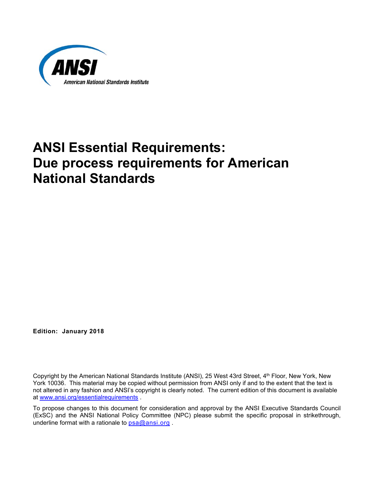

# **ANSI Essential Requirements: Due process requirements for American National Standards**

**Edition: January 2018** 

Copyright by the American National Standards Institute (ANSI), 25 West 43rd Street, 4<sup>th</sup> Floor, New York, New York 10036. This material may be copied without permission from ANSI only if and to the extent that the text is not altered in any fashion and ANSI's copyright is clearly noted. The current edition of this document is available at www.ansi.org/essentialrequirements .

To propose changes to this document for consideration and approval by the ANSI Executive Standards Council (ExSC) and the ANSI National Policy Committee (NPC) please submit the specific proposal in strikethrough, underline format with a rationale to  $psa@ansi.org$ .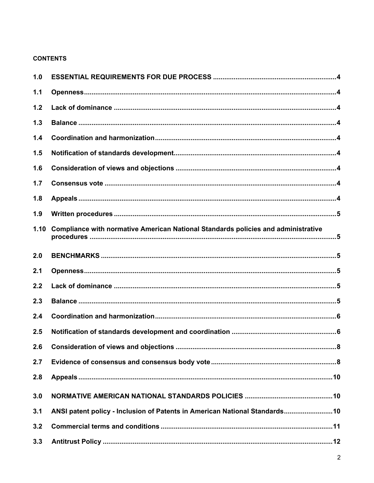# **CONTENTS**

| 1.0  |                                                                                          |
|------|------------------------------------------------------------------------------------------|
| 1.1  |                                                                                          |
| 1.2  |                                                                                          |
| 1.3  |                                                                                          |
| 1.4  |                                                                                          |
| 1.5  |                                                                                          |
| 1.6  |                                                                                          |
| 1.7  |                                                                                          |
| 1.8  |                                                                                          |
| 1.9  |                                                                                          |
| 1.10 | <b>Compliance with normative American National Standards policies and administrative</b> |
| 2.0  |                                                                                          |
| 2.1  |                                                                                          |
| 2.2  |                                                                                          |
| 2.3  |                                                                                          |
| 2.4  |                                                                                          |
| 2.5  |                                                                                          |
| 2.6  |                                                                                          |
| 2.7  |                                                                                          |
| 2.8  |                                                                                          |
| 3.0  |                                                                                          |
| 3.1  | ANSI patent policy - Inclusion of Patents in American National Standards 10              |
| 3.2  |                                                                                          |
| 3.3  |                                                                                          |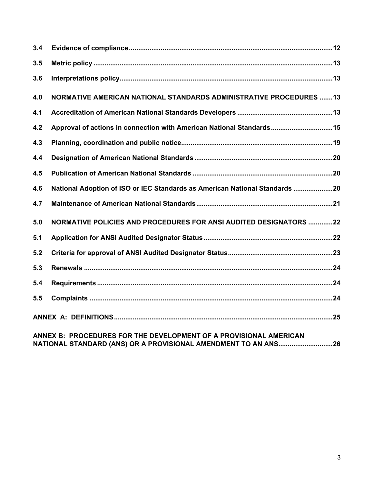| 3.4                                                               |                                                                             |  |
|-------------------------------------------------------------------|-----------------------------------------------------------------------------|--|
| 3.5                                                               |                                                                             |  |
| 3.6                                                               |                                                                             |  |
| 4.0                                                               | NORMATIVE AMERICAN NATIONAL STANDARDS ADMINISTRATIVE PROCEDURES 13          |  |
| 4.1                                                               |                                                                             |  |
| 4.2                                                               | Approval of actions in connection with American National Standards15        |  |
| 4.3                                                               |                                                                             |  |
| 4.4                                                               |                                                                             |  |
| 4.5                                                               |                                                                             |  |
| 4.6                                                               | National Adoption of ISO or IEC Standards as American National Standards 20 |  |
| 4.7                                                               |                                                                             |  |
| 5.0                                                               | NORMATIVE POLICIES AND PROCEDURES FOR ANSI AUDITED DESIGNATORS 22           |  |
| 5.1                                                               |                                                                             |  |
| 5.2                                                               |                                                                             |  |
| 5.3                                                               |                                                                             |  |
| 5.4                                                               |                                                                             |  |
| 5.5                                                               |                                                                             |  |
|                                                                   |                                                                             |  |
| ANNEY P. DDOCEDUDES EOD THE DEVELOPMENT OF A PROVISIONAL AMERICAN |                                                                             |  |

**ANNEX B: PROCEDURES FOR THE DEVELOPMENT OF A PROVISIONAL AMERICAN NATIONAL STANDARD (ANS) OR A PROVISIONAL AMENDMENT TO AN ANS ............................. 26**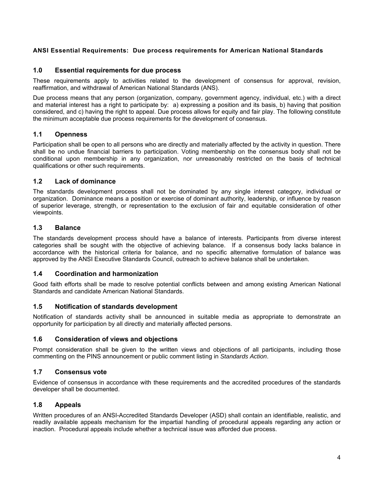## **ANSI Essential Requirements: Due process requirements for American National Standards**

## **1.0 Essential requirements for due process**

These requirements apply to activities related to the development of consensus for approval, revision, reaffirmation, and withdrawal of American National Standards (ANS).

Due process means that any person (organization, company, government agency, individual, etc.) with a direct and material interest has a right to participate by: a) expressing a position and its basis, b) having that position considered, and c) having the right to appeal. Due process allows for equity and fair play. The following constitute the minimum acceptable due process requirements for the development of consensus.

## **1.1 Openness**

Participation shall be open to all persons who are directly and materially affected by the activity in question. There shall be no undue financial barriers to participation. Voting membership on the consensus body shall not be conditional upon membership in any organization, nor unreasonably restricted on the basis of technical qualifications or other such requirements.

#### **1.2 Lack of dominance**

The standards development process shall not be dominated by any single interest category, individual or organization. Dominance means a position or exercise of dominant authority, leadership, or influence by reason of superior leverage, strength, or representation to the exclusion of fair and equitable consideration of other viewpoints.

#### **1.3 Balance**

The standards development process should have a balance of interests. Participants from diverse interest categories shall be sought with the objective of achieving balance. If a consensus body lacks balance in accordance with the historical criteria for balance, and no specific alternative formulation of balance was approved by the ANSI Executive Standards Council, outreach to achieve balance shall be undertaken.

#### **1.4 Coordination and harmonization**

Good faith efforts shall be made to resolve potential conflicts between and among existing American National Standards and candidate American National Standards.

#### **1.5 Notification of standards development**

Notification of standards activity shall be announced in suitable media as appropriate to demonstrate an opportunity for participation by all directly and materially affected persons.

#### **1.6 Consideration of views and objections**

Prompt consideration shall be given to the written views and objections of all participants, including those commenting on the PINS announcement or public comment listing in *Standards Action*.

#### **1.7 Consensus vote**

Evidence of consensus in accordance with these requirements and the accredited procedures of the standards developer shall be documented.

#### **1.8 Appeals**

Written procedures of an ANSI-Accredited Standards Developer (ASD) shall contain an identifiable, realistic, and readily available appeals mechanism for the impartial handling of procedural appeals regarding any action or inaction. Procedural appeals include whether a technical issue was afforded due process.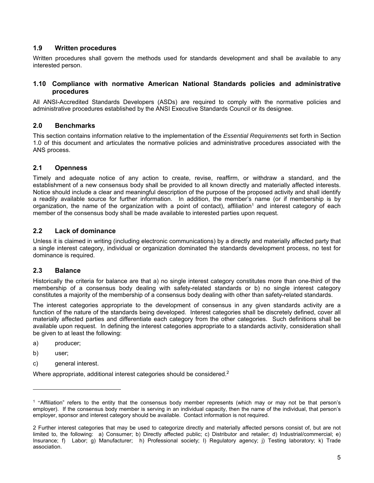## **1.9 Written procedures**

Written procedures shall govern the methods used for standards development and shall be available to any interested person.

## **1.10 Compliance with normative American National Standards policies and administrative procedures**

All ANSI-Accredited Standards Developers (ASDs) are required to comply with the normative policies and administrative procedures established by the ANSI Executive Standards Council or its designee.

## **2.0 Benchmarks**

This section contains information relative to the implementation of the *Essential Requirements* set forth in Section 1.0 of this document and articulates the normative policies and administrative procedures associated with the ANS process.

## **2.1 Openness**

Timely and adequate notice of any action to create, revise, reaffirm, or withdraw a standard, and the establishment of a new consensus body shall be provided to all known directly and materially affected interests. Notice should include a clear and meaningful description of the purpose of the proposed activity and shall identify a readily available source for further information. In addition, the member's name (or if membership is by organization, the name of the organization with a point of contact), affiliation<sup>1</sup> and interest category of each member of the consensus body shall be made available to interested parties upon request.

## **2.2 Lack of dominance**

Unless it is claimed in writing (including electronic communications) by a directly and materially affected party that a single interest category, individual or organization dominated the standards development process, no test for dominance is required.

#### **2.3 Balance**

Historically the criteria for balance are that a) no single interest category constitutes more than one-third of the membership of a consensus body dealing with safety-related standards or b) no single interest category constitutes a majority of the membership of a consensus body dealing with other than safety-related standards.

The interest categories appropriate to the development of consensus in any given standards activity are a function of the nature of the standards being developed. Interest categories shall be discretely defined, cover all materially affected parties and differentiate each category from the other categories. Such definitions shall be available upon request. In defining the interest categories appropriate to a standards activity, consideration shall be given to at least the following:

- a) producer;
- b) user;

l

c) general interest.

Where appropriate, additional interest categories should be considered.<sup>2</sup>

<sup>1</sup> "Affiliation" refers to the entity that the consensus body member represents (which may or may not be that person's employer). If the consensus body member is serving in an individual capacity, then the name of the individual, that person's employer, sponsor and interest category should be available. Contact information is not required.

<sup>2</sup> Further interest categories that may be used to categorize directly and materially affected persons consist of, but are not limited to, the following: a) Consumer; b) Directly affected public; c) Distributor and retailer; d) Industrial/commercial; e) Insurance; f) Labor; g) Manufacturer; h) Professional society; I) Regulatory agency; j) Testing laboratory; k) Trade association.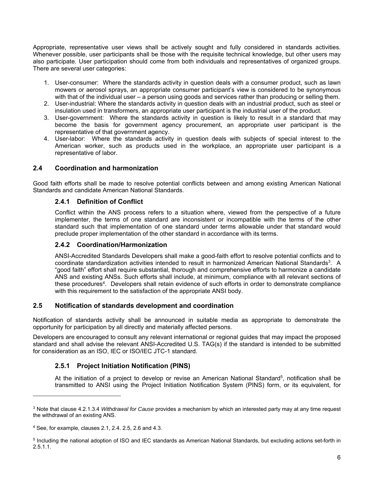Appropriate, representative user views shall be actively sought and fully considered in standards activities. Whenever possible, user participants shall be those with the requisite technical knowledge, but other users may also participate. User participation should come from both individuals and representatives of organized groups. There are several user categories:

- 1. User-consumer:Where the standards activity in question deals with a consumer product, such as lawn mowers or aerosol sprays, an appropriate consumer participant's view is considered to be synonymous with that of the individual user – a person using goods and services rather than producing or selling them.
- 2. User-industrial: Where the standards activity in question deals with an industrial product, such as steel or insulation used in transformers, an appropriate user participant is the industrial user of the product.
- 3. User-government:Where the standards activity in question is likely to result in a standard that may become the basis for government agency procurement, an appropriate user participant is the representative of that government agency.
- 4. User-labor: Where the standards activity in question deals with subjects of special interest to the American worker, such as products used in the workplace, an appropriate user participant is a representative of labor.

## **2.4 Coordination and harmonization**

Good faith efforts shall be made to resolve potential conflicts between and among existing American National Standards and candidate American National Standards.

## **2.4.1 Definition of Conflict**

Conflict within the ANS process refers to a situation where, viewed from the perspective of a future implementer, the terms of one standard are inconsistent or incompatible with the terms of the other standard such that implementation of one standard under terms allowable under that standard would preclude proper implementation of the other standard in accordance with its terms.

#### **2.4.2 Coordination/Harmonization**

ANSI-Accredited Standards Developers shall make a good-faith effort to resolve potential conflicts and to coordinate standardization activities intended to result in harmonized American National Standards<sup>3</sup>. A "good faith" effort shall require substantial, thorough and comprehensive efforts to harmonize a candidate ANS and existing ANSs. Such efforts shall include, at minimum, compliance with all relevant sections of these procedures4. Developers shall retain evidence of such efforts in order to demonstrate compliance with this requirement to the satisfaction of the appropriate ANSI body.

## **2.5 Notification of standards development and coordination**

Notification of standards activity shall be announced in suitable media as appropriate to demonstrate the opportunity for participation by all directly and materially affected persons.

Developers are encouraged to consult any relevant international or regional guides that may impact the proposed standard and shall advise the relevant ANSI-Accredited U.S. TAG(s) if the standard is intended to be submitted for consideration as an ISO, IEC or ISO/IEC JTC-1 standard.

## **2.5.1 Project Initiation Notification (PINS)**

At the initiation of a project to develop or revise an American National Standard<sup>5</sup>, notification shall be transmitted to ANSI using the Project Initiation Notification System (PINS) form, or its equivalent, for

-

<sup>3</sup> Note that clause 4.2.1.3.4 *Withdrawal for Cause* provides a mechanism by which an interested party may at any time request the withdrawal of an existing ANS.

<sup>4</sup> See, for example, clauses 2.1, 2.4. 2.5, 2.6 and 4.3.

<sup>5</sup> Including the national adoption of ISO and IEC standards as American National Standards, but excluding actions set-forth in  $2.5.1.1.$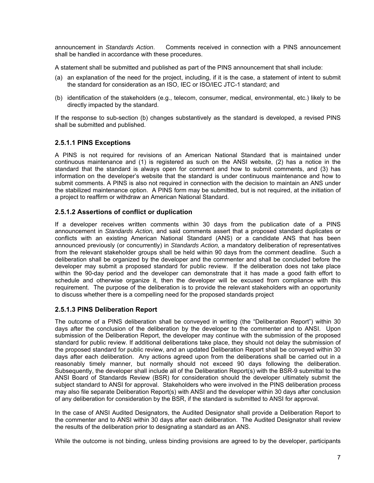announcement in *Standards Action*. Comments received in connection with a PINS announcement shall be handled in accordance with these procedures.

A statement shall be submitted and published as part of the PINS announcement that shall include:

- (a) an explanation of the need for the project, including, if it is the case, a statement of intent to submit the standard for consideration as an ISO, IEC or ISO/IEC JTC-1 standard; and
- (b) identification of the stakeholders (e.g., telecom, consumer, medical, environmental, etc.) likely to be directly impacted by the standard.

If the response to sub-section (b) changes substantively as the standard is developed, a revised PINS shall be submitted and published.

## **2.5.1.1 PINS Exceptions**

A PINS is not required for revisions of an American National Standard that is maintained under continuous maintenance and (1) is registered as such on the ANSI website, (2) has a notice in the standard that the standard is always open for comment and how to submit comments, and (3) has information on the developer's website that the standard is under continuous maintenance and how to submit comments. A PINS is also not required in connection with the decision to maintain an ANS under the stabilized maintenance option. A PINS form may be submitted, but is not required, at the initiation of a project to reaffirm or withdraw an American National Standard.

#### **2.5.1.2 Assertions of conflict or duplication**

If a developer receives written comments within 30 days from the publication date of a PINS announcement in *Standards Action,* and said comments assert that a proposed standard duplicates or conflicts with an existing American National Standard (ANS) or a candidate ANS that has been announced previously (or concurrently) in *Standards Action,* a mandatory deliberation of representatives from the relevant stakeholder groups shall be held within 90 days from the comment deadline. Such a deliberation shall be organized by the developer and the commenter and shall be concluded before the developer may submit a proposed standard for public review. If the deliberation does not take place within the 90-day period and the developer can demonstrate that it has made a good faith effort to schedule and otherwise organize it, then the developer will be excused from compliance with this requirement. The purpose of the deliberation is to provide the relevant stakeholders with an opportunity to discuss whether there is a compelling need for the proposed standards project

#### **2.5.1.3 PINS Deliberation Report**

The outcome of a PINS deliberation shall be conveyed in writing (the "Deliberation Report") within 30 days after the conclusion of the deliberation by the developer to the commenter and to ANSI. Upon submission of the Deliberation Report, the developer may continue with the submission of the proposed standard for public review. If additional deliberations take place, they should not delay the submission of the proposed standard for public review, and an updated Deliberation Report shall be conveyed within 30 days after each deliberation. Any actions agreed upon from the deliberations shall be carried out in a reasonably timely manner, but normally should not exceed 90 days following the deliberation. Subsequently, the developer shall include all of the Deliberation Report(s) with the BSR-9 submittal to the ANSI Board of Standards Review (BSR) for consideration should the developer ultimately submit the subject standard to ANSI for approval. Stakeholders who were involved in the PINS deliberation process may also file separate Deliberation Report(s) with ANSI and the developer within 30 days after conclusion of any deliberation for consideration by the BSR, if the standard is submitted to ANSI for approval.

In the case of ANSI Audited Designators, the Audited Designator shall provide a Deliberation Report to the commenter and to ANSI within 30 days after each deliberation. The Audited Designator shall review the results of the deliberation prior to designating a standard as an ANS.

While the outcome is not binding, unless binding provisions are agreed to by the developer, participants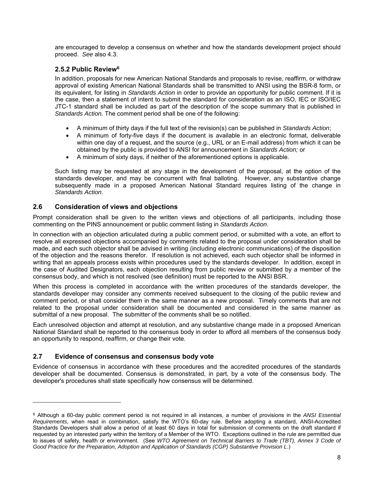are encouraged to develop a consensus on whether and how the standards development project should proceed. *See* also 4.3.

# **2.5.2 Public Review6**

In addition, proposals for new American National Standards and proposals to revise, reaffirm, or withdraw approval of existing American National Standards shall be transmitted to ANSI using the BSR-8 form, or its equivalent, for listing in *Standards Action* in order to provide an opportunity for public comment. If it is the case, then a statement of intent to submit the standard for consideration as an ISO, IEC or ISO/IEC JTC-1 standard shall be included as part of the description of the scope summary that is published in *Standards Action.* The comment period shall be one of the following:

- A minimum of thirty days if the full text of the revision(s) can be published in *Standards Action*;
- A minimum of forty-five days if the document is available in an electronic format, deliverable within one day of a request, and the source (e.g., URL or an E-mail address) from which it can be obtained by the public is provided to ANSI for announcement in *Standards Action;* or
- A minimum of sixty days, if neither of the aforementioned options is applicable.

Such listing may be requested at any stage in the development of the proposal, at the option of the standards developer, and may be concurrent with final balloting. However, any substantive change subsequently made in a proposed American National Standard requires listing of the change in *Standards Action*.

## **2.6 Consideration of views and objections**

Prompt consideration shall be given to the written views and objections of all participants, including those commenting on the PINS announcement or public comment listing in *Standards Action*.

In connection with an objection articulated during a public comment period, or submitted with a vote, an effort to resolve all expressed objections accompanied by comments related to the proposal under consideration shall be made, and each such objector shall be advised in writing (including electronic communications) of the disposition of the objection and the reasons therefor. If resolution is not achieved, each such objector shall be informed in writing that an appeals process exists within procedures used by the standards developer. In addition, except in the case of Audited Designators, each objection resulting from public review or submitted by a member of the consensus body, and which is not resolved (see definition) must be reported to the ANSI BSR.

When this process is completed in accordance with the written procedures of the standards developer, the standards developer may consider any comments received subsequent to the closing of the public review and comment period, or shall consider them in the same manner as a new proposal. Timely comments that are not related to the proposal under consideration shall be documented and considered in the same manner as submittal of a new proposal. The submitter of the comments shall be so notified.

Each unresolved objection and attempt at resolution, and any substantive change made in a proposed American National Standard shall be reported to the consensus body in order to afford all members of the consensus body an opportunity to respond, reaffirm, or change their vote.

## **2.7 Evidence of consensus and consensus body vote**

l

Evidence of consensus in accordance with these procedures and the accredited procedures of the standards developer shall be documented. Consensus is demonstrated, in part, by a vote of the consensus body. The developer's procedures shall state specifically how consensus will be determined.

<sup>6</sup> Although a 60-day public comment period is not required in all instances, a number of provisions in the *ANSI Essential Requirements*, when read in combination, satisfy the WTO's 60-day rule. Before adopting a standard, ANSI-Accredited Standards Developers shall allow a period of at least 60 days in total for submission of comments on the draft standard if requested by an interested party within the territory of a Member of the WTO. Exceptions outlined in the rule are permitted due to issues of safety, health or environment. (See *WTO Agreement on Technical Barriers to Trade (TBT), Annex 3 Code of Good Practice for the Preparation, Adoption and Application of Standards (CGP) Substantive Provision L*.)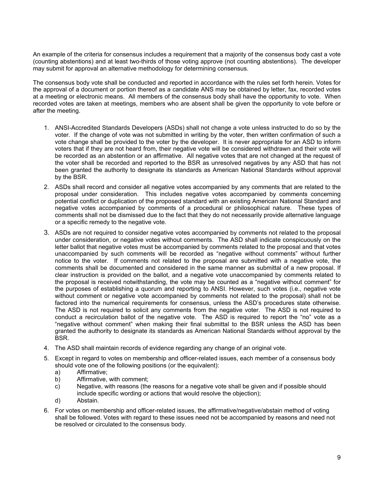An example of the criteria for consensus includes a requirement that a majority of the consensus body cast a vote (counting abstentions) and at least two-thirds of those voting approve (not counting abstentions). The developer may submit for approval an alternative methodology for determining consensus.

The consensus body vote shall be conducted and reported in accordance with the rules set forth herein. Votes for the approval of a document or portion thereof as a candidate ANS may be obtained by letter, fax, recorded votes at a meeting or electronic means. All members of the consensus body shall have the opportunity to vote. When recorded votes are taken at meetings, members who are absent shall be given the opportunity to vote before or after the meeting.

- 1. ANSI-Accredited Standards Developers (ASDs) shall not change a vote unless instructed to do so by the voter. If the change of vote was not submitted in writing by the voter, then written confirmation of such a vote change shall be provided to the voter by the developer. It is never appropriate for an ASD to inform voters that if they are not heard from, their negative vote will be considered withdrawn and their vote will be recorded as an abstention or an affirmative. All negative votes that are not changed at the request of the voter shall be recorded and reported to the BSR as unresolved negatives by any ASD that has not been granted the authority to designate its standards as American National Standards without approval by the BSR.
- 2. ASDs shall record and consider all negative votes accompanied by any comments that are related to the proposal under consideration. This includes negative votes accompanied by comments concerning potential conflict or duplication of the proposed standard with an existing American National Standard and negative votes accompanied by comments of a procedural or philosophical nature. These types of comments shall not be dismissed due to the fact that they do not necessarily provide alternative language or a specific remedy to the negative vote.
- 3. ASDs are not required to consider negative votes accompanied by comments not related to the proposal under consideration, or negative votes without comments. The ASD shall indicate conspicuously on the letter ballot that negative votes must be accompanied by comments related to the proposal and that votes unaccompanied by such comments will be recorded as "negative without comments" without further notice to the voter. If comments not related to the proposal are submitted with a negative vote, the comments shall be documented and considered in the same manner as submittal of a new proposal. If clear instruction is provided on the ballot, and a negative vote unaccompanied by comments related to the proposal is received notwithstanding, the vote may be counted as a "negative without comment" for the purposes of establishing a quorum and reporting to ANSI. However, such votes (i.e., negative vote without comment or negative vote accompanied by comments not related to the proposal) shall not be factored into the numerical requirements for consensus, unless the ASD's procedures state otherwise. The ASD is not required to solicit any comments from the negative voter. The ASD is not required to conduct a recirculation ballot of the negative vote. The ASD is required to report the "no" vote as a "negative without comment" when making their final submittal to the BSR unless the ASD has been granted the authority to designate its standards as American National Standards without approval by the BSR.
- 4. The ASD shall maintain records of evidence regarding any change of an original vote.
- 5. Except in regard to votes on membership and officer-related issues, each member of a consensus body should vote one of the following positions (or the equivalent):
	- a) Affirmative;
	- b) Affirmative, with comment;
	- c) Negative, with reasons (the reasons for a negative vote shall be given and if possible should include specific wording or actions that would resolve the objection);
	- d) Abstain.
- 6. For votes on membership and officer-related issues, the affirmative/negative/abstain method of voting shall be followed. Votes with regard to these issues need not be accompanied by reasons and need not be resolved or circulated to the consensus body.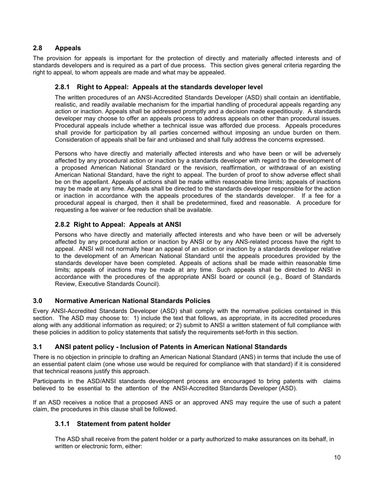# **2.8 Appeals**

The provision for appeals is important for the protection of directly and materially affected interests and of standards developers and is required as a part of due process. This section gives general criteria regarding the right to appeal, to whom appeals are made and what may be appealed.

## **2.8.1 Right to Appeal: Appeals at the standards developer level**

The written procedures of an ANSI-Accredited Standards Developer (ASD) shall contain an identifiable, realistic, and readily available mechanism for the impartial handling of procedural appeals regarding any action or inaction. Appeals shall be addressed promptly and a decision made expeditiously. A standards developer may choose to offer an appeals process to address appeals on other than procedural issues. Procedural appeals include whether a technical issue was afforded due process. Appeals procedures shall provide for participation by all parties concerned without imposing an undue burden on them. Consideration of appeals shall be fair and unbiased and shall fully address the concerns expressed.

Persons who have directly and materially affected interests and who have been or will be adversely affected by any procedural action or inaction by a standards developer with regard to the development of a proposed American National Standard or the revision, reaffirmation, or withdrawal of an existing American National Standard, have the right to appeal. The burden of proof to show adverse effect shall be on the appellant. Appeals of actions shall be made within reasonable time limits; appeals of inactions may be made at any time. Appeals shall be directed to the standards developer responsible for the action or inaction in accordance with the appeals procedures of the standards developer. If a fee for a procedural appeal is charged, then it shall be predetermined, fixed and reasonable. A procedure for requesting a fee waiver or fee reduction shall be available.

## **2.8.2 Right to Appeal: Appeals at ANSI**

Persons who have directly and materially affected interests and who have been or will be adversely affected by any procedural action or inaction by ANSI or by any ANS-related process have the right to appeal. ANSI will not normally hear an appeal of an action or inaction by a standards developer relative to the development of an American National Standard until the appeals procedures provided by the standards developer have been completed. Appeals of actions shall be made within reasonable time limits; appeals of inactions may be made at any time. Such appeals shall be directed to ANSI in accordance with the procedures of the appropriate ANSI board or council (e.g., Board of Standards Review, Executive Standards Council).

#### **3.0 Normative American National Standards Policies**

Every ANSI-Accredited Standards Developer (ASD) shall comply with the normative policies contained in this section. The ASD may choose to: 1) include the text that follows, as appropriate, in its accredited procedures along with any additional information as required; or 2) submit to ANSI a written statement of full compliance with these policies in addition to policy statements that satisfy the requirements set-forth in this section.

## **3.1 ANSI patent policy - Inclusion of Patents in American National Standards**

There is no objection in principle to drafting an American National Standard (ANS) in terms that include the use of an essential patent claim (one whose use would be required for compliance with that standard) if it is considered that technical reasons justify this approach.

Participants in the ASD/ANSI standards development process are encouraged to bring patents with claims believed to be essential to the attention of the ANSI-Accredited Standards Developer (ASD).

If an ASD receives a notice that a proposed ANS or an approved ANS may require the use of such a patent claim, the procedures in this clause shall be followed.

#### **3.1.1 Statement from patent holder**

The ASD shall receive from the patent holder or a party authorized to make assurances on its behalf, in written or electronic form, either: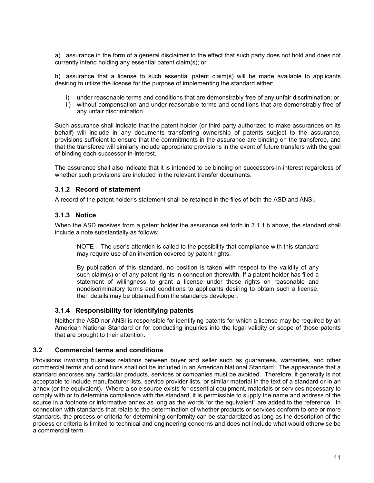a) assurance in the form of a general disclaimer to the effect that such party does not hold and does not currently intend holding any essential patent claim(s); or

b) assurance that a license to such essential patent claim(s) will be made available to applicants desiring to utilize the license for the purpose of implementing the standard either:

- i) under reasonable terms and conditions that are demonstrably free of any unfair discrimination; or
- ii) without compensation and under reasonable terms and conditions that are demonstrably free of any unfair discrimination.

Such assurance shall indicate that the patent holder (or third party authorized to make assurances on its behalf) will include in any documents transferring ownership of patents subject to the assurance, provisions sufficient to ensure that the commitments in the assurance are binding on the transferee, and that the transferee will similarly include appropriate provisions in the event of future transfers with the goal of binding each successor-in-interest.

The assurance shall also indicate that it is intended to be binding on successors-in-interest regardless of whether such provisions are included in the relevant transfer documents.

## **3.1.2 Record of statement**

A record of the patent holder's statement shall be retained in the files of both the ASD and ANSI.

## **3.1.3 Notice**

When the ASD receives from a patent holder the assurance set forth in 3.1.1.b above, the standard shall include a note substantially as follows:

NOTE – The user's attention is called to the possibility that compliance with this standard may require use of an invention covered by patent rights.

By publication of this standard, no position is taken with respect to the validity of any such claim(s) or of any patent rights in connection therewith. If a patent holder has filed a statement of willingness to grant a license under these rights on reasonable and nondiscriminatory terms and conditions to applicants desiring to obtain such a license, then details may be obtained from the standards developer.

#### **3.1.4 Responsibility for identifying patents**

Neither the ASD nor ANSI is responsible for identifying patents for which a license may be required by an American National Standard or for conducting inquiries into the legal validity or scope of those patents that are brought to their attention.

#### **3.2 Commercial terms and conditions**

Provisions involving business relations between buyer and seller such as guarantees, warranties, and other commercial terms and conditions shall not be included in an American National Standard. The appearance that a standard endorses any particular products, services or companies must be avoided. Therefore, it generally is not acceptable to include manufacturer lists, service provider lists, or similar material in the text of a standard or in an annex (or the equivalent). Where a sole source exists for essential equipment, materials or services necessary to comply with or to determine compliance with the standard, it is permissible to supply the name and address of the source in a footnote or informative annex as long as the words "or the equivalent" are added to the reference. In connection with standards that relate to the determination of whether products or services conform to one or more standards, the process or criteria for determining conformity can be standardized as long as the description of the process or criteria is limited to technical and engineering concerns and does not include what would otherwise be a commercial term.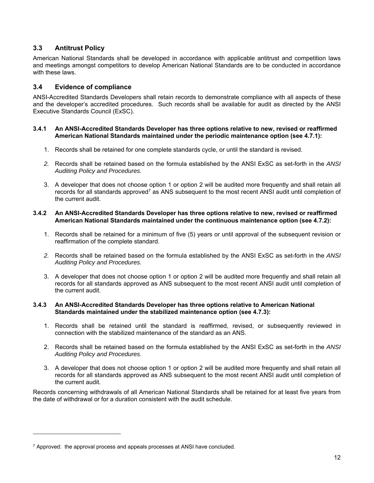# **3.3 Antitrust Policy**

American National Standards shall be developed in accordance with applicable antitrust and competition laws and meetings amongst competitors to develop American National Standards are to be conducted in accordance with these laws.

## **3.4 Evidence of compliance**

ANSI-Accredited Standards Developers shall retain records to demonstrate compliance with all aspects of these and the developer's accredited procedures. Such records shall be available for audit as directed by the ANSI Executive Standards Council (ExSC).

#### **3.4.1 An ANSI-Accredited Standards Developer has three options relative to new, revised or reaffirmed American National Standards maintained under the periodic maintenance option (see 4.7.1):**

- 1. Records shall be retained for one complete standards cycle, or until the standard is revised.
- *2.* Records shall be retained based on the formula established by the ANSI ExSC as set-forth in the *ANSI Auditing Policy and Procedures.*
- 3. A developer that does not choose option 1 or option 2 will be audited more frequently and shall retain all records for all standards approved<sup>7</sup> as ANS subsequent to the most recent ANSI audit until completion of the current audit.

#### **3.4.2 An ANSI-Accredited Standards Developer has three options relative to new, revised or reaffirmed American National Standards maintained under the continuous maintenance option (see 4.7.2):**

- 1. Records shall be retained for a minimum of five (5) years or until approval of the subsequent revision or reaffirmation of the complete standard.
- *2.* Records shall be retained based on the formula established by the ANSI ExSC as set-forth in the *ANSI Auditing Policy and Procedures.*
- 3. A developer that does not choose option 1 or option 2 will be audited more frequently and shall retain all records for all standards approved as ANS subsequent to the most recent ANSI audit until completion of the current audit.

#### **3.4.3 An ANSI-Accredited Standards Developer has three options relative to American National Standards maintained under the stabilized maintenance option (see 4.7.3):**

- 1. Records shall be retained until the standard is reaffirmed, revised, or subsequently reviewed in connection with the stabilized maintenance of the standard as an ANS.
- 2. Records shall be retained based on the formula established by the ANSI ExSC as set-forth in the *ANSI Auditing Policy and Procedures.*
- 3. A developer that does not choose option 1 or option 2 will be audited more frequently and shall retain all records for all standards approved as ANS subsequent to the most recent ANSI audit until completion of the current audit.

Records concerning withdrawals of all American National Standards shall be retained for at least five years from the date of withdrawal or for a duration consistent with the audit schedule.

l

 $7$  Approved: the approval process and appeals processes at ANSI have concluded.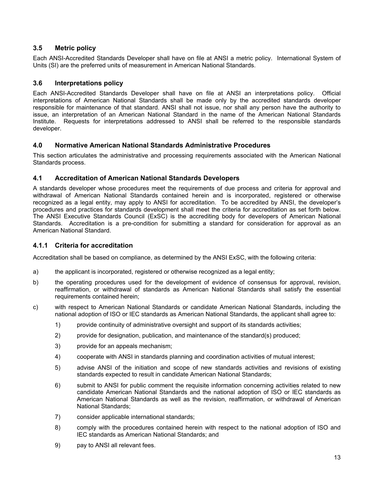# **3.5 Metric policy**

Each ANSI-Accredited Standards Developer shall have on file at ANSI a metric policy. International System of Units (SI) are the preferred units of measurement in American National Standards.

# **3.6 Interpretations policy**

Each ANSI-Accredited Standards Developer shall have on file at ANSI an interpretations policy. Official interpretations of American National Standards shall be made only by the accredited standards developer responsible for maintenance of that standard. ANSI shall not issue, nor shall any person have the authority to issue, an interpretation of an American National Standard in the name of the American National Standards Institute. Requests for interpretations addressed to ANSI shall be referred to the responsible standards developer.

## **4.0 Normative American National Standards Administrative Procedures**

This section articulates the administrative and processing requirements associated with the American National Standards process.

## **4.1 Accreditation of American National Standards Developers**

A standards developer whose procedures meet the requirements of due process and criteria for approval and withdrawal of American National Standards contained herein and is incorporated, registered or otherwise recognized as a legal entity, may apply to ANSI for accreditation. To be accredited by ANSI, the developer's procedures and practices for standards development shall meet the criteria for accreditation as set forth below. The ANSI Executive Standards Council (ExSC) is the accrediting body for developers of American National Standards. Accreditation is a pre-condition for submitting a standard for consideration for approval as an American National Standard.

### **4.1.1 Criteria for accreditation**

Accreditation shall be based on compliance, as determined by the ANSI ExSC, with the following criteria:

- a) the applicant is incorporated, registered or otherwise recognized as a legal entity;
- b) the operating procedures used for the development of evidence of consensus for approval, revision, reaffirmation, or withdrawal of standards as American National Standards shall satisfy the essential requirements contained herein;
- c) with respect to American National Standards or candidate American National Standards, including the national adoption of ISO or IEC standards as American National Standards, the applicant shall agree to:
	- 1) provide continuity of administrative oversight and support of its standards activities;
	- 2) provide for designation, publication, and maintenance of the standard(s) produced;
	- 3) provide for an appeals mechanism;
	- 4) cooperate with ANSI in standards planning and coordination activities of mutual interest;
	- 5) advise ANSI of the initiation and scope of new standards activities and revisions of existing standards expected to result in candidate American National Standards;
	- 6) submit to ANSI for public comment the requisite information concerning activities related to new candidate American National Standards and the national adoption of ISO or IEC standards as American National Standards as well as the revision, reaffirmation, or withdrawal of American National Standards;
	- 7) consider applicable international standards;
	- 8) comply with the procedures contained herein with respect to the national adoption of ISO and IEC standards as American National Standards; and
	- 9) pay to ANSI all relevant fees.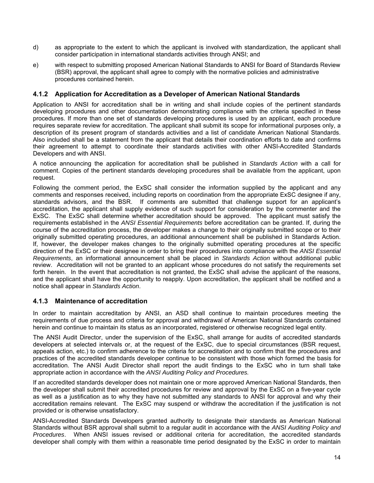- d) as appropriate to the extent to which the applicant is involved with standardization, the applicant shall consider participation in international standards activities through ANSI; and
- e) with respect to submitting proposed American National Standards to ANSI for Board of Standards Review (BSR) approval, the applicant shall agree to comply with the normative policies and administrative procedures contained herein.

## **4.1.2 Application for Accreditation as a Developer of American National Standards**

Application to ANSI for accreditation shall be in writing and shall include copies of the pertinent standards developing procedures and other documentation demonstrating compliance with the criteria specified in these procedures. If more than one set of standards developing procedures is used by an applicant, each procedure requires separate review for accreditation. The applicant shall submit its scope for informational purposes only, a description of its present program of standards activities and a list of candidate American National Standards. Also included shall be a statement from the applicant that details their coordination efforts to date and confirms their agreement to attempt to coordinate their standards activities with other ANSI-Accredited Standards Developers and with ANSI.

A notice announcing the application for accreditation shall be published in *Standards Action* with a call for comment. Copies of the pertinent standards developing procedures shall be available from the applicant, upon request.

Following the comment period, the ExSC shall consider the information supplied by the applicant and any comments and responses received, including reports on coordination from the appropriate ExSC designee if any, standards advisors, and the BSR. If comments are submitted that challenge support for an applicant's accreditation, the applicant shall supply evidence of such support for consideration by the commenter and the ExSC. The ExSC shall determine whether accreditation should be approved. The applicant must satisfy the requirements established in the *ANSI Essential Requirements* before accreditation can be granted. If, during the course of the accreditation process, the developer makes a change to their originally submitted scope or to their originally submitted operating procedures, an additional announcement shall be published in Standards Action. If, however, the developer makes changes to the originally submitted operating procedures at the specific direction of the ExSC or their designee in order to bring their procedures into compliance with the *ANSI Essential Requirements*, an informational announcement shall be placed in *Standards Action* without additional public review. Accreditation will not be granted to an applicant whose procedures do not satisfy the requirements set forth herein. In the event that accreditation is not granted, the ExSC shall advise the applicant of the reasons, and the applicant shall have the opportunity to reapply. Upon accreditation, the applicant shall be notified and a notice shall appear in *Standards Action*.

#### **4.1.3 Maintenance of accreditation**

In order to maintain accreditation by ANSI, an ASD shall continue to maintain procedures meeting the requirements of due process and criteria for approval and withdrawal of American National Standards contained herein and continue to maintain its status as an incorporated, registered or otherwise recognized legal entity.

The ANSI Audit Director, under the supervision of the ExSC, shall arrange for audits of accredited standards developers at selected intervals or, at the request of the ExSC, due to special circumstances (BSR request, appeals action, etc.) to confirm adherence to the criteria for accreditation and to confirm that the procedures and practices of the accredited standards developer continue to be consistent with those which formed the basis for accreditation. The ANSI Audit Director shall report the audit findings to the ExSC who in turn shall take appropriate action in accordance with the *ANSI Auditing Policy and Procedures.* 

If an accredited standards developer does not maintain one or more approved American National Standards, then the developer shall submit their accredited procedures for review and approval by the ExSC on a five-year cycle as well as a justification as to why they have not submitted any standards to ANSI for approval and why their accreditation remains relevant. The ExSC may suspend or withdraw the accreditation if the justification is not provided or is otherwise unsatisfactory.

ANSI-Accredited Standards Developers granted authority to designate their standards as American National Standards without BSR approval shall submit to a regular audit in accordance with the *ANSI Auditing Policy and Procedures*. When ANSI issues revised or additional criteria for accreditation, the accredited standards developer shall comply with them within a reasonable time period designated by the ExSC in order to maintain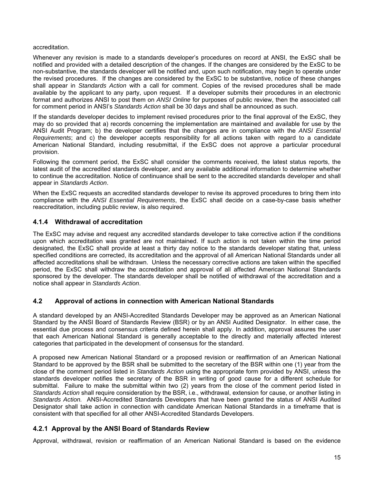#### accreditation.

Whenever any revision is made to a standards developer's procedures on record at ANSI, the ExSC shall be notified and provided with a detailed description of the changes. If the changes are considered by the ExSC to be non-substantive, the standards developer will be notified and, upon such notification, may begin to operate under the revised procedures. If the changes are considered by the ExSC to be substantive, notice of these changes shall appear in *Standards Action* with a call for comment. Copies of the revised procedures shall be made available by the applicant to any party, upon request. If a developer submits their procedures in an electronic format and authorizes ANSI to post them on *ANSI Online* for purposes of public review, then the associated call for comment period in ANSI's *Standards Action* shall be 30 days and shall be announced as such.

If the standards developer decides to implement revised procedures prior to the final approval of the ExSC, they may do so provided that a) records concerning the implementation are maintained and available for use by the ANSI Audit Program; b) the developer certifies that the changes are in compliance with the *ANSI Essential Requirements*; and c) the developer accepts responsibility for all actions taken with regard to a candidate American National Standard, including resubmittal, if the ExSC does not approve a particular procedural provision.

Following the comment period, the ExSC shall consider the comments received, the latest status reports, the latest audit of the accredited standards developer, and any available additional information to determine whether to continue the accreditation. Notice of continuance shall be sent to the accredited standards developer and shall appear in *Standards Action*.

When the ExSC requests an accredited standards developer to revise its approved procedures to bring them into compliance with the *ANSI Essential Requirements*, the ExSC shall decide on a case-by-case basis whether reaccreditation, including public review, is also required.

#### **4.1.4 Withdrawal of accreditation**

The ExSC may advise and request any accredited standards developer to take corrective action if the conditions upon which accreditation was granted are not maintained. If such action is not taken within the time period designated, the ExSC shall provide at least a thirty day notice to the standards developer stating that, unless specified conditions are corrected, its accreditation and the approval of all American National Standards under all affected accreditations shall be withdrawn. Unless the necessary corrective actions are taken within the specified period, the ExSC shall withdraw the accreditation and approval of all affected American National Standards sponsored by the developer. The standards developer shall be notified of withdrawal of the accreditation and a notice shall appear in *Standards Action*.

#### **4.2 Approval of actions in connection with American National Standards**

A standard developed by an ANSI-Accredited Standards Developer may be approved as an American National Standard by the ANSI Board of Standards Review (BSR) or by an ANSI Audited Designator. In either case, the essential due process and consensus criteria defined herein shall apply. In addition, approval assures the user that each American National Standard is generally acceptable to the directly and materially affected interest categories that participated in the development of consensus for the standard.

A proposed new American National Standard or a proposed revision or reaffirmation of an American National Standard to be approved by the BSR shall be submitted to the secretary of the BSR within one (1) year from the close of the comment period listed in *Standards Action* using the appropriate form provided by ANSI, unless the standards developer notifies the secretary of the BSR in writing of good cause for a different schedule for submittal. Failure to make the submittal within two (2) years from the close of the comment period listed in *Standards Action* shall require consideration by the BSR, i.e., withdrawal, extension for cause, or another listing in *Standards Action.* ANSI-Accredited Standards Developers that have been granted the status of ANSI Audited Designator shall take action in connection with candidate American National Standards in a timeframe that is consistent with that specified for all other ANSI-Accredited Standards Developers.

#### **4.2.1 Approval by the ANSI Board of Standards Review**

Approval, withdrawal, revision or reaffirmation of an American National Standard is based on the evidence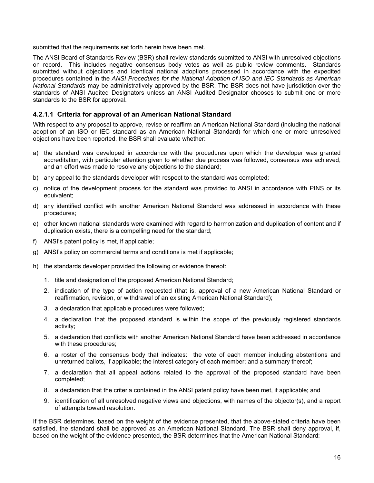submitted that the requirements set forth herein have been met.

The ANSI Board of Standards Review (BSR) shall review standards submitted to ANSI with unresolved objections on record. This includes negative consensus body votes as well as public review comments. Standards submitted without objections and identical national adoptions processed in accordance with the expedited procedures contained in the *ANSI Procedures for the National Adoption of ISO and IEC Standards as American National Standards* may be administratively approved by the BSR. The BSR does not have jurisdiction over the standards of ANSI Audited Designators unless an ANSI Audited Designator chooses to submit one or more standards to the BSR for approval.

### **4.2.1.1 Criteria for approval of an American National Standard**

With respect to any proposal to approve, revise or reaffirm an American National Standard (including the national adoption of an ISO or IEC standard as an American National Standard) for which one or more unresolved objections have been reported, the BSR shall evaluate whether:

- a) the standard was developed in accordance with the procedures upon which the developer was granted accreditation, with particular attention given to whether due process was followed, consensus was achieved, and an effort was made to resolve any objections to the standard;
- b) any appeal to the standards developer with respect to the standard was completed;
- c) notice of the development process for the standard was provided to ANSI in accordance with PINS or its equivalent;
- d) any identified conflict with another American National Standard was addressed in accordance with these procedures;
- e) other known national standards were examined with regard to harmonization and duplication of content and if duplication exists, there is a compelling need for the standard;
- f) ANSI's patent policy is met, if applicable;
- g) ANSI's policy on commercial terms and conditions is met if applicable;
- h) the standards developer provided the following or evidence thereof:
	- 1. title and designation of the proposed American National Standard;
	- 2. indication of the type of action requested (that is, approval of a new American National Standard or reaffirmation, revision, or withdrawal of an existing American National Standard);
	- 3. a declaration that applicable procedures were followed;
	- 4. a declaration that the proposed standard is within the scope of the previously registered standards activity;
	- 5. a declaration that conflicts with another American National Standard have been addressed in accordance with these procedures;
	- 6. a roster of the consensus body that indicates: the vote of each member including abstentions and unreturned ballots, if applicable; the interest category of each member; and a summary thereof;
	- 7. a declaration that all appeal actions related to the approval of the proposed standard have been completed;
	- 8. a declaration that the criteria contained in the ANSI patent policy have been met, if applicable; and
	- 9. identification of all unresolved negative views and objections, with names of the objector(s), and a report of attempts toward resolution.

If the BSR determines, based on the weight of the evidence presented, that the above-stated criteria have been satisfied, the standard shall be approved as an American National Standard. The BSR shall deny approval, if, based on the weight of the evidence presented, the BSR determines that the American National Standard: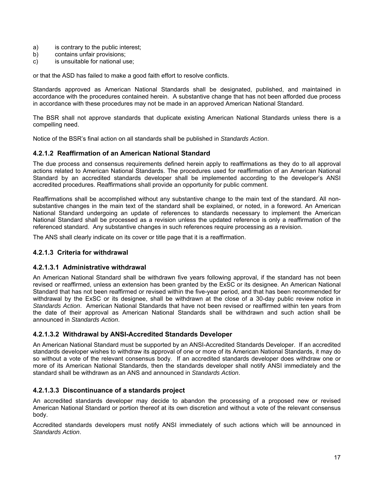- a) is contrary to the public interest;
- b) contains unfair provisions;
- c) is unsuitable for national use;

or that the ASD has failed to make a good faith effort to resolve conflicts.

Standards approved as American National Standards shall be designated, published, and maintained in accordance with the procedures contained herein. A substantive change that has not been afforded due process in accordance with these procedures may not be made in an approved American National Standard.

The BSR shall not approve standards that duplicate existing American National Standards unless there is a compelling need.

Notice of the BSR's final action on all standards shall be published in *Standards Action*.

## **4.2.1.2 Reaffirmation of an American National Standard**

The due process and consensus requirements defined herein apply to reaffirmations as they do to all approval actions related to American National Standards. The procedures used for reaffirmation of an American National Standard by an accredited standards developer shall be implemented according to the developer's ANSI accredited procedures. Reaffirmations shall provide an opportunity for public comment.

Reaffirmations shall be accomplished without any substantive change to the main text of the standard. All nonsubstantive changes in the main text of the standard shall be explained, or noted, in a foreword. An American National Standard undergoing an update of references to standards necessary to implement the American National Standard shall be processed as a revision unless the updated reference is only a reaffirmation of the referenced standard. Any substantive changes in such references require processing as a revision.

The ANS shall clearly indicate on its cover or title page that it is a reaffirmation.

## **4.2.1.3 Criteria for withdrawal**

#### **4.2.1.3.1 Administrative withdrawal**

An American National Standard shall be withdrawn five years following approval, if the standard has not been revised or reaffirmed, unless an extension has been granted by the ExSC or its designee. An American National Standard that has not been reaffirmed or revised within the five-year period, and that has been recommended for withdrawal by the ExSC or its designee, shall be withdrawn at the close of a 30-day public review notice in *Standards Action*. American National Standards that have not been revised or reaffirmed within ten years from the date of their approval as American National Standards shall be withdrawn and such action shall be announced in *Standards Action*.

#### **4.2.1.3.2 Withdrawal by ANSI-Accredited Standards Developer**

An American National Standard must be supported by an ANSI-Accredited Standards Developer. If an accredited standards developer wishes to withdraw its approval of one or more of its American National Standards, it may do so without a vote of the relevant consensus body. If an accredited standards developer does withdraw one or more of its American National Standards, then the standards developer shall notify ANSI immediately and the standard shall be withdrawn as an ANS and announced in *Standards Action*.

#### **4.2.1.3.3 Discontinuance of a standards project**

An accredited standards developer may decide to abandon the processing of a proposed new or revised American National Standard or portion thereof at its own discretion and without a vote of the relevant consensus body.

Accredited standards developers must notify ANSI immediately of such actions which will be announced in *Standards Action*.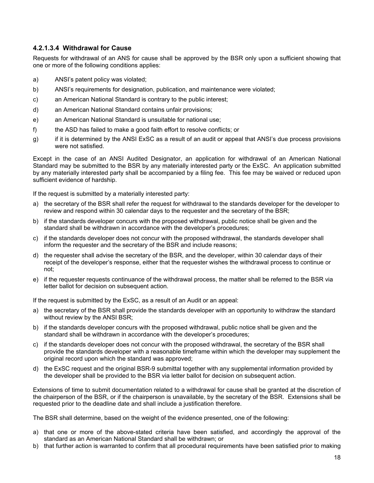## **4.2.1.3.4 Withdrawal for Cause**

Requests for withdrawal of an ANS for cause shall be approved by the BSR only upon a sufficient showing that one or more of the following conditions applies:

- a) ANSI's patent policy was violated;
- b) ANSI's requirements for designation, publication, and maintenance were violated;
- c) an American National Standard is contrary to the public interest;
- d) an American National Standard contains unfair provisions;
- e) an American National Standard is unsuitable for national use;
- f) the ASD has failed to make a good faith effort to resolve conflicts; or
- g) if it is determined by the ANSI ExSC as a result of an audit or appeal that ANSI's due process provisions were not satisfied.

Except in the case of an ANSI Audited Designator, an application for withdrawal of an American National Standard may be submitted to the BSR by any materially interested party or the ExSC. An application submitted by any materially interested party shall be accompanied by a filing fee. This fee may be waived or reduced upon sufficient evidence of hardship.

If the request is submitted by a materially interested party:

- a) the secretary of the BSR shall refer the request for withdrawal to the standards developer for the developer to review and respond within 30 calendar days to the requester and the secretary of the BSR;
- b) if the standards developer concurs with the proposed withdrawal, public notice shall be given and the standard shall be withdrawn in accordance with the developer's procedures;
- c) if the standards developer does not concur with the proposed withdrawal, the standards developer shall inform the requester and the secretary of the BSR and include reasons;
- d) the requester shall advise the secretary of the BSR, and the developer, within 30 calendar days of their receipt of the developer's response, either that the requester wishes the withdrawal process to continue or not;
- e) if the requester requests continuance of the withdrawal process, the matter shall be referred to the BSR via letter ballot for decision on subsequent action.

If the request is submitted by the ExSC, as a result of an Audit or an appeal:

- a) the secretary of the BSR shall provide the standards developer with an opportunity to withdraw the standard without review by the ANSI BSR;
- b) if the standards developer concurs with the proposed withdrawal, public notice shall be given and the standard shall be withdrawn in accordance with the developer's procedures;
- c) if the standards developer does not concur with the proposed withdrawal, the secretary of the BSR shall provide the standards developer with a reasonable timeframe within which the developer may supplement the original record upon which the standard was approved;
- d) the ExSC request and the original BSR-9 submittal together with any supplemental information provided by the developer shall be provided to the BSR via letter ballot for decision on subsequent action.

Extensions of time to submit documentation related to a withdrawal for cause shall be granted at the discretion of the chairperson of the BSR, or if the chairperson is unavailable, by the secretary of the BSR. Extensions shall be requested prior to the deadline date and shall include a justification therefore.

The BSR shall determine, based on the weight of the evidence presented, one of the following:

- a) that one or more of the above-stated criteria have been satisfied, and accordingly the approval of the standard as an American National Standard shall be withdrawn; or
- b) that further action is warranted to confirm that all procedural requirements have been satisfied prior to making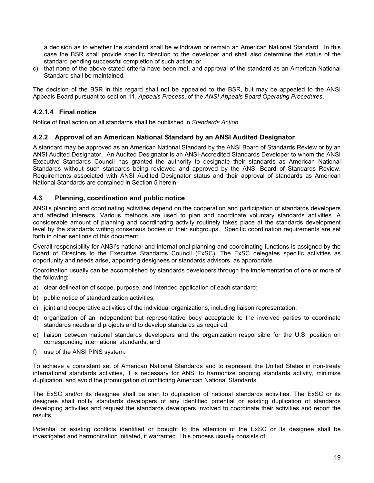a decision as to whether the standard shall be withdrawn or remain an American National Standard. In this case the BSR shall provide specific direction to the developer and shall also determine the status of the standard pending successful completion of such action; or

c) that none of the above-stated criteria have been met, and approval of the standard as an American National Standard shall be maintained.

The decision of the BSR in this regard shall not be appealed to the BSR, but may be appealed to the ANSI Appeals Board pursuant to section 11, *Appeals Process*, of the *ANSI Appeals Board Operating Procedures*.

## **4.2.1.4 Final notice**

Notice of final action on all standards shall be published in *Standards Action*.

#### **4.2.2 Approval of an American National Standard by an ANSI Audited Designator**

A standard may be approved as an American National Standard by the ANSI Board of Standards Review or by an ANSI Audited Designator. An Audited Designator is an ANSI-Accredited Standards Developer to whom the ANSI Executive Standards Council has granted the authority to designate their standards as American National Standards without such standards being reviewed and approved by the ANSI Board of Standards Review. Requirements associated with ANSI Audited Designator status and their approval of standards as American National Standards are contained in Section 5 herein.

## **4.3 Planning, coordination and public notice**

ANSI's planning and coordinating activities depend on the cooperation and participation of standards developers and affected interests. Various methods are used to plan and coordinate voluntary standards activities. A considerable amount of planning and coordinating activity routinely takes place at the standards development level by the standards writing consensus bodies or their subgroups. Specific coordination requirements are set forth in other sections of this document.

Overall responsibility for ANSI's national and international planning and coordinating functions is assigned by the Board of Directors to the Executive Standards Council (ExSC). The ExSC delegates specific activities as opportunity and needs arise, appointing designees or standards advisors, as appropriate.

Coordination usually can be accomplished by standards developers through the implementation of one or more of the following:

- a) clear delineation of scope, purpose, and intended application of each standard;
- b) public notice of standardization activities;
- c) joint and cooperative activities of the individual organizations, including liaison representation;
- d) organization of an independent but representative body acceptable to the involved parties to coordinate standards needs and projects and to develop standards as required;
- e) liaison between national standards developers and the organization responsible for the U.S. position on corresponding international standards; and
- f) use of the ANSI PINS system.

To achieve a consistent set of American National Standards and to represent the United States in non-treaty international standards activities, it is necessary for ANSI to harmonize ongoing standards activity, minimize duplication, and avoid the promulgation of conflicting American National Standards.

The ExSC and/or its designee shall be alert to duplication of national standards activities. The ExSC or its designee shall notify standards developers of any identified potential or existing duplication of standards developing activities and request the standards developers involved to coordinate their activities and report the results.

Potential or existing conflicts identified or brought to the attention of the ExSC or its designee shall be investigated and harmonization initiated, if warranted. This process usually consists of: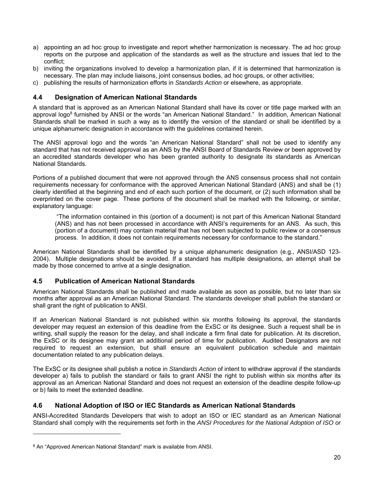- a) appointing an ad hoc group to investigate and report whether harmonization is necessary. The ad hoc group reports on the purpose and application of the standards as well as the structure and issues that led to the conflict;
- b) inviting the organizations involved to develop a harmonization plan, if it is determined that harmonization is necessary. The plan may include liaisons, joint consensus bodies, ad hoc groups, or other activities;
- c) publishing the results of harmonization efforts in *Standards Action* or elsewhere, as appropriate.

# **4.4 Designation of American National Standards**

A standard that is approved as an American National Standard shall have its cover or title page marked with an approval logo<sup>8</sup> furnished by ANSI or the words "an American National Standard." In addition, American National Standards shall be marked in such a way as to identify the version of the standard or shall be identified by a unique alphanumeric designation in accordance with the guidelines contained herein.

The ANSI approval logo and the words "an American National Standard" shall not be used to identify any standard that has not received approval as an ANS by the ANSI Board of Standards Review or been approved by an accredited standards developer who has been granted authority to designate its standards as American National Standards.

Portions of a published document that were not approved through the ANS consensus process shall not contain requirements necessary for conformance with the approved American National Standard (ANS) and shall be (1) clearly identified at the beginning and end of each such portion of the document, or (2) such information shall be overprinted on the cover page. These portions of the document shall be marked with the following, or similar, explanatory language:

 "The information contained in this (portion of a document) is not part of this American National Standard (ANS) and has not been processed in accordance with ANSI's requirements for an ANS. As such, this (portion of a document) may contain material that has not been subjected to public review or a consensus process. In addition, it does not contain requirements necessary for conformance to the standard."

American National Standards shall be identified by a unique alphanumeric designation (e.g., ANSI/ASD 123- 2004). Multiple designations should be avoided. If a standard has multiple designations, an attempt shall be made by those concerned to arrive at a single designation.

## **4.5 Publication of American National Standards**

American National Standards shall be published and made available as soon as possible, but no later than six months after approval as an American National Standard. The standards developer shall publish the standard or shall grant the right of publication to ANSI.

If an American National Standard is not published within six months following its approval, the standards developer may request an extension of this deadline from the ExSC or its designee. Such a request shall be in writing, shall supply the reason for the delay, and shall indicate a firm final date for publication. At its discretion, the ExSC or its designee may grant an additional period of time for publication. Audited Designators are not required to request an extension, but shall ensure an equivalent publication schedule and maintain documentation related to any publication delays.

The ExSC or its designee shall publish a notice in *Standards Action* of intent to withdraw approval if the standards developer a) fails to publish the standard or fails to grant ANSI the right to publish within six months after its approval as an American National Standard and does not request an extension of the deadline despite follow-up or b) fails to meet the extended deadline.

## **4.6 National Adoption of ISO or IEC Standards as American National Standards**

ANSI-Accredited Standards Developers that wish to adopt an ISO or IEC standard as an American National Standard shall comply with the requirements set forth in the *ANSI Procedures for the National Adoption of ISO or* 

l

<sup>&</sup>lt;sup>8</sup> An "Approved American National Standard" mark is available from ANSI.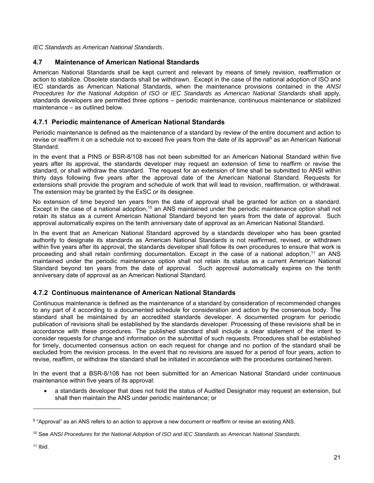*IEC Standards as American National Standards*.

# **4.7 Maintenance of American National Standards**

American National Standards shall be kept current and relevant by means of timely revision, reaffirmation or action to stabilize. Obsolete standards shall be withdrawn. Except in the case of the national adoption of ISO and IEC standards as American National Standards, when the maintenance provisions contained in the *ANSI Procedures for the National Adoption of ISO or IEC Standards as American National Standards* shall apply, standards developers are permitted three options – periodic maintenance, continuous maintenance or stabilized maintenance – as outlined below.

# **4.7.1 Periodic maintenance of American National Standards**

Periodic maintenance is defined as the maintenance of a standard by review of the entire document and action to revise or reaffirm it on a schedule not to exceed five years from the date of its approval<sup>9</sup> as an American National Standard.

In the event that a PINS or BSR-8/108 has not been submitted for an American National Standard within five years after its approval, the standards developer may request an extension of time to reaffirm or revise the standard, or shall withdraw the standard. The request for an extension of time shall be submitted to ANSI within thirty days following five years after the approval date of the American National Standard. Requests for extensions shall provide the program and schedule of work that will lead to revision, reaffirmation, or withdrawal. The extension may be granted by the ExSC or its designee.

No extension of time beyond ten years from the date of approval shall be granted for action on a standard. Except in the case of a national adoption,<sup>10</sup> an ANS maintained under the periodic maintenance option shall not retain its status as a current American National Standard beyond ten years from the date of approval. Such approval automatically expires on the tenth anniversary date of approval as an American National Standard.

In the event that an American National Standard approved by a standards developer who has been granted authority to designate its standards as American National Standards is not reaffirmed, revised, or withdrawn within five years after its approval, the standards developer shall follow its own procedures to ensure that work is proceeding and shall retain confirming documentation. Except in the case of a national adoption,<sup>11</sup> an ANS maintained under the periodic maintenance option shall not retain its status as a current American National Standard beyond ten years from the date of approval. Such approval automatically expires on the tenth anniversary date of approval as an American National Standard.

## **4.7.2 Continuous maintenance of American National Standards**

Continuous maintenance is defined as the maintenance of a standard by consideration of recommended changes to any part of it according to a documented schedule for consideration and action by the consensus body. The standard shall be maintained by an accredited standards developer. A documented program for periodic publication of revisions shall be established by the standards developer. Processing of these revisions shall be in accordance with these procedures. The published standard shall include a clear statement of the intent to consider requests for change and information on the submittal of such requests. Procedures shall be established for timely, documented consensus action on each request for change and no portion of the standard shall be excluded from the revision process. In the event that no revisions are issued for a period of four years, action to revise, reaffirm, or withdraw the standard shall be initiated in accordance with the procedures contained herein.

In the event that a BSR-8/108 has not been submitted for an American National Standard under continuous maintenance within five years of its approval:

 a standards developer that does not hold the status of Audited Designator may request an extension, but shall then maintain the ANS under periodic maintenance; or

l

<sup>9 &</sup>quot;Approval" as an ANS refers to an action to approve a new document or reaffirm or revise an existing ANS.

<sup>10</sup> See *ANSI Procedures for the National Adoption of ISO and IEC Standards as American National Standards.*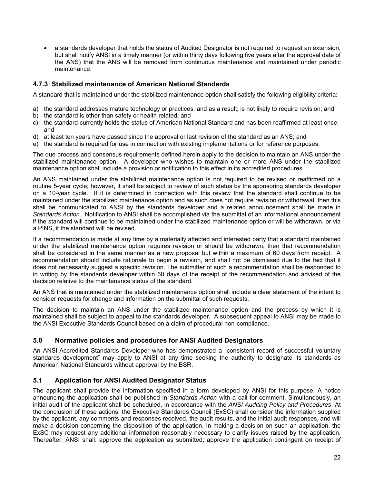a standards developer that holds the status of Audited Designator is not required to request an extension, but shall notify ANSI in a timely manner (or within thirty days following five years after the approval date of the ANS) that the ANS will be removed from continuous maintenance and maintained under periodic maintenance.

# **4.7.3 Stabilized maintenance of American National Standards**

A standard that is maintained under the stabilized maintenance option shall satisfy the following eligibility criteria:

- a) the standard addresses mature technology or practices, and as a result, is not likely to require revision; and
- b) the standard is other than safety or health related; and
- c) the standard currently holds the status of American National Standard and has been reaffirmed at least once; and
- d) at least ten years have passed since the approval or last revision of the standard as an ANS; and
- e) the standard is required for use in connection with existing implementations or for reference purposes.

The due process and consensus requirements defined herein apply to the decision to maintain an ANS under the stabilized maintenance option. A developer who wishes to maintain one or more ANS under the stabilized maintenance option shall include a provision or notification to this effect in its accredited procedures

An ANS maintained under the stabilized maintenance option is not required to be revised or reaffirmed on a routine 5-year cycle; however, it shall be subject to review of such status by the sponsoring standards developer on a 10-year cycle. If it is determined in connection with this review that the standard shall continue to be maintained under the stabilized maintenance option and as such does not require revision or withdrawal, then this shall be communicated to ANSI by the standards developer and a related announcement shall be made in *Standards Action*. Notification to ANSI shall be accomplished via the submittal of an informational announcement if the standard will continue to be maintained under the stabilized maintenance option or will be withdrawn, or via a PINS, if the standard will be revised.

If a recommendation is made at any time by a materially affected and interested party that a standard maintained under the stabilized maintenance option requires revision or should be withdrawn, then that recommendation shall be considered in the same manner as a new proposal but within a maximum of 60 days from receipt. A recommendation should include rationale to begin a revision, and shall not be dismissed due to the fact that it does not necessarily suggest a specific revision. The submitter of such a recommendation shall be responded to in writing by the standards developer within 60 days of the receipt of the recommendation and advised of the decision relative to the maintenance status of the standard.

An ANS that is maintained under the stabilized maintenance option shall include a clear statement of the intent to consider requests for change and information on the submittal of such requests.

The decision to maintain an ANS under the stabilized maintenance option and the process by which it is maintained shall be subject to appeal to the standards developer. A subsequent appeal to ANSI may be made to the ANSI Executive Standards Council based on a claim of procedural non-compliance.

#### **5.0 Normative policies and procedures for ANSI Audited Designators**

An ANSI-Accredited Standards Developer who has demonstrated a "consistent record of successful voluntary standards development" may apply to ANSI at any time seeking the authority to designate its standards as American National Standards without approval by the BSR.

## **5.1 Application for ANSI Audited Designator Status**

The applicant shall provide the information specified in a form developed by ANSI for this purpose. A notice announcing the application shall be published in *Standards Action* with a call for comment. Simultaneously, an initial audit of the applicant shall be scheduled, in accordance with the *ANSI Auditing Policy and Procedures*. At the conclusion of these actions, the Executive Standards Council (ExSC) shall consider the information supplied by the applicant, any comments and responses received, the audit results, and the initial audit responses, and will make a decision concerning the disposition of the application. In making a decision on such an application, the ExSC may request any additional information reasonably necessary to clarify issues raised by the application. Thereafter, ANSI shall: approve the application as submitted; approve the application contingent on receipt of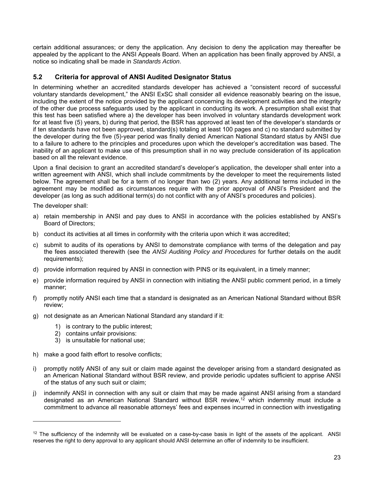certain additional assurances; or deny the application. Any decision to deny the application may thereafter be appealed by the applicant to the ANSI Appeals Board. When an application has been finally approved by ANSI, a notice so indicating shall be made in *Standards Action*.

# **5.2 Criteria for approval of ANSI Audited Designator Status**

In determining whether an accredited standards developer has achieved a "consistent record of successful voluntary standards development," the ANSI ExSC shall consider all evidence reasonably bearing on the issue, including the extent of the notice provided by the applicant concerning its development activities and the integrity of the other due process safeguards used by the applicant in conducting its work. A presumption shall exist that this test has been satisfied where a) the developer has been involved in voluntary standards development work for at least five (5) years, b) during that period, the BSR has approved at least ten of the developer's standards or if ten standards have not been approved, standard(s) totaling at least 100 pages and c) no standard submitted by the developer during the five (5)-year period was finally denied American National Standard status by ANSI due to a failure to adhere to the principles and procedures upon which the developer's accreditation was based. The inability of an applicant to make use of this presumption shall in no way preclude consideration of its application based on all the relevant evidence.

Upon a final decision to grant an accredited standard's developer's application, the developer shall enter into a written agreement with ANSI, which shall include commitments by the developer to meet the requirements listed below. The agreement shall be for a term of no longer than two (2) years. Any additional terms included in the agreement may be modified as circumstances require with the prior approval of ANSI's President and the developer (as long as such additional term(s) do not conflict with any of ANSI's procedures and policies).

The developer shall:

l

- a) retain membership in ANSI and pay dues to ANSI in accordance with the policies established by ANSI's Board of Directors;
- b) conduct its activities at all times in conformity with the criteria upon which it was accredited;
- c) submit to audits of its operations by ANSI to demonstrate compliance with terms of the delegation and pay the fees associated therewith (see the *ANSI Auditing Policy and Procedures* for further details on the audit requirements);
- d) provide information required by ANSI in connection with PINS or its equivalent, in a timely manner;
- e) provide information required by ANSI in connection with initiating the ANSI public comment period, in a timely manner;
- f) promptly notify ANSI each time that a standard is designated as an American National Standard without BSR review;
- g) not designate as an American National Standard any standard if it:
	- 1) is contrary to the public interest;
	- 2) contains unfair provisions:
	- 3) is unsuitable for national use;
- h) make a good faith effort to resolve conflicts;
- i) promptly notify ANSI of any suit or claim made against the developer arising from a standard designated as an American National Standard without BSR review, and provide periodic updates sufficient to apprise ANSI of the status of any such suit or claim;
- j) indemnify ANSI in connection with any suit or claim that may be made against ANSI arising from a standard designated as an American National Standard without BSR review,<sup>12</sup> which indemnity must include a commitment to advance all reasonable attorneys' fees and expenses incurred in connection with investigating

 $12$  The sufficiency of the indemnity will be evaluated on a case-by-case basis in light of the assets of the applicant. ANSI reserves the right to deny approval to any applicant should ANSI determine an offer of indemnity to be insufficient.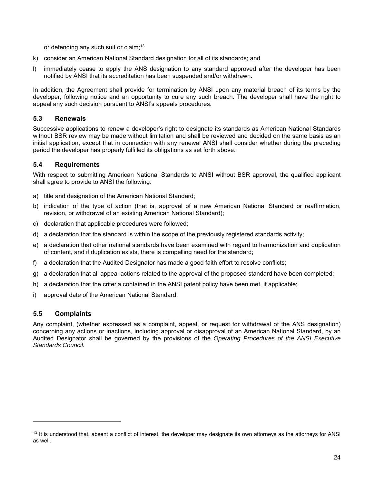or defending any such suit or claim;<sup>13</sup>

- k) consider an American National Standard designation for all of its standards; and
- l) immediately cease to apply the ANS designation to any standard approved after the developer has been notified by ANSI that its accreditation has been suspended and/or withdrawn.

In addition, the Agreement shall provide for termination by ANSI upon any material breach of its terms by the developer, following notice and an opportunity to cure any such breach. The developer shall have the right to appeal any such decision pursuant to ANSI's appeals procedures.

## **5.3 Renewals**

Successive applications to renew a developer's right to designate its standards as American National Standards without BSR review may be made without limitation and shall be reviewed and decided on the same basis as an initial application, except that in connection with any renewal ANSI shall consider whether during the preceding period the developer has properly fulfilled its obligations as set forth above.

## **5.4 Requirements**

With respect to submitting American National Standards to ANSI without BSR approval, the qualified applicant shall agree to provide to ANSI the following:

- a) title and designation of the American National Standard;
- b) indication of the type of action (that is, approval of a new American National Standard or reaffirmation, revision, or withdrawal of an existing American National Standard);
- c) declaration that applicable procedures were followed;
- d) a declaration that the standard is within the scope of the previously registered standards activity;
- e) a declaration that other national standards have been examined with regard to harmonization and duplication of content, and if duplication exists, there is compelling need for the standard;
- f) a declaration that the Audited Designator has made a good faith effort to resolve conflicts;
- g) a declaration that all appeal actions related to the approval of the proposed standard have been completed;
- h) a declaration that the criteria contained in the ANSI patent policy have been met, if applicable;
- i) approval date of the American National Standard.

## **5.5 Complaints**

-

Any complaint, (whether expressed as a complaint, appeal, or request for withdrawal of the ANS designation) concerning any actions or inactions, including approval or disapproval of an American National Standard, by an Audited Designator shall be governed by the provisions of the *Operating Procedures of the ANSI Executive Standards Council.*

<sup>&</sup>lt;sup>13</sup> It is understood that, absent a conflict of interest, the developer may designate its own attorneys as the attorneys for ANSI as well.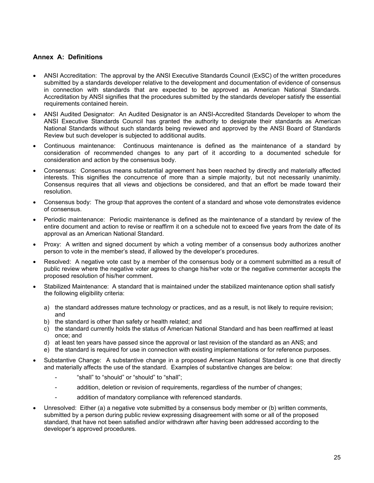# **Annex A: Definitions**

- ANSI Accreditation: The approval by the ANSI Executive Standards Council (ExSC) of the written procedures submitted by a standards developer relative to the development and documentation of evidence of consensus in connection with standards that are expected to be approved as American National Standards. Accreditation by ANSI signifies that the procedures submitted by the standards developer satisfy the essential requirements contained herein.
- ANSI Audited Designator: An Audited Designator is an ANSI-Accredited Standards Developer to whom the ANSI Executive Standards Council has granted the authority to designate their standards as American National Standards without such standards being reviewed and approved by the ANSI Board of Standards Review but such developer is subjected to additional audits.
- Continuous maintenance: Continuous maintenance is defined as the maintenance of a standard by consideration of recommended changes to any part of it according to a documented schedule for consideration and action by the consensus body.
- Consensus: Consensus means substantial agreement has been reached by directly and materially affected interests. This signifies the concurrence of more than a simple majority, but not necessarily unanimity. Consensus requires that all views and objections be considered, and that an effort be made toward their resolution.
- Consensus body: The group that approves the content of a standard and whose vote demonstrates evidence of consensus.
- Periodic maintenance: Periodic maintenance is defined as the maintenance of a standard by review of the entire document and action to revise or reaffirm it on a schedule not to exceed five years from the date of its approval as an American National Standard.
- Proxy: A written and signed document by which a voting member of a consensus body authorizes another person to vote in the member's stead, if allowed by the developer's procedures.
- Resolved: A negative vote cast by a member of the consensus body or a comment submitted as a result of public review where the negative voter agrees to change his/her vote or the negative commenter accepts the proposed resolution of his/her comment.
- Stabilized Maintenance: A standard that is maintained under the stabilized maintenance option shall satisfy the following eligibility criteria:
	- a) the standard addresses mature technology or practices, and as a result, is not likely to require revision; and
	- b) the standard is other than safety or health related; and
	- c) the standard currently holds the status of American National Standard and has been reaffirmed at least once; and
	- d) at least ten years have passed since the approval or last revision of the standard as an ANS; and
	- e) the standard is required for use in connection with existing implementations or for reference purposes.
- Substantive Change: A substantive change in a proposed American National Standard is one that directly and materially affects the use of the standard. Examples of substantive changes are below:
	- "shall" to "should" or "should" to "shall";
	- addition, deletion or revision of requirements, regardless of the number of changes;
	- addition of mandatory compliance with referenced standards.
- Unresolved: Either (a) a negative vote submitted by a consensus body member or (b) written comments, submitted by a person during public review expressing disagreement with some or all of the proposed standard, that have not been satisfied and/or withdrawn after having been addressed according to the developer's approved procedures.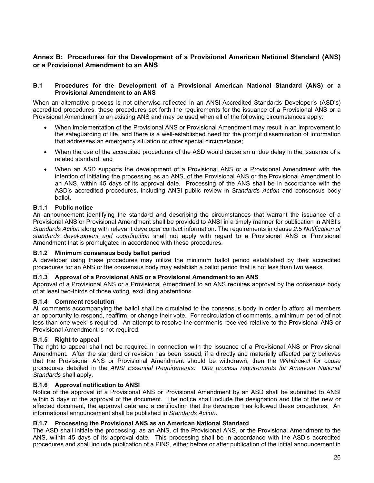# **Annex B: Procedures for the Development of a Provisional American National Standard (ANS) or a Provisional Amendment to an ANS**

#### **B.1 Procedures for the Development of a Provisional American National Standard (ANS) or a Provisional Amendment to an ANS**

When an alternative process is not otherwise reflected in an ANSI-Accredited Standards Developer's (ASD's) accredited procedures, these procedures set forth the requirements for the issuance of a Provisional ANS or a Provisional Amendment to an existing ANS and may be used when all of the following circumstances apply:

- When implementation of the Provisional ANS or Provisional Amendment may result in an improvement to the safeguarding of life, and there is a well-established need for the prompt dissemination of information that addresses an emergency situation or other special circumstance;
- When the use of the accredited procedures of the ASD would cause an undue delay in the issuance of a related standard; and
- When an ASD supports the development of a Provisional ANS or a Provisional Amendment with the intention of initiating the processing as an ANS, of the Provisional ANS or the Provisional Amendment to an ANS, within 45 days of its approval date. Processing of the ANS shall be in accordance with the ASD's accredited procedures, including ANSI public review in *Standards Action* and consensus body ballot.

## **B.1.1 Public notice**

An announcement identifying the standard and describing the circumstances that warrant the issuance of a Provisional ANS or Provisional Amendment shall be provided to ANSI in a timely manner for publication in ANSI's *Standards Action* along with relevant developer contact information. The requirements in clause *2.5 Notification of standards development and coordination* shall not apply with regard to a Provisional ANS or Provisional Amendment that is promulgated in accordance with these procedures.

#### **B.1.2 Minimum consensus body ballot period**

A developer using these procedures may utilize the minimum ballot period established by their accredited procedures for an ANS or the consensus body may establish a ballot period that is not less than two weeks.

#### **B.1.3 Approval of a Provisional ANS or a Provisional Amendment to an ANS**

Approval of a Provisional ANS or a Provisional Amendment to an ANS requires approval by the consensus body of at least two-thirds of those voting, excluding abstentions.

#### **B.1.4 Comment resolution**

All comments accompanying the ballot shall be circulated to the consensus body in order to afford all members an opportunity to respond, reaffirm, or change their vote. For recirculation of comments, a minimum period of not less than one week is required. An attempt to resolve the comments received relative to the Provisional ANS or Provisional Amendment is not required.

#### **B.1.5 Right to appeal**

The right to appeal shall not be required in connection with the issuance of a Provisional ANS or Provisional Amendment. After the standard or revision has been issued, if a directly and materially affected party believes that the Provisional ANS or Provisional Amendment should be withdrawn, then the *Withdrawal for cause* procedures detailed in the *ANSI Essential Requirements: Due process requirements for American National Standards* shall apply.

#### **B.1.6 Approval notification to ANSI**

Notice of the approval of a Provisional ANS or Provisional Amendment by an ASD shall be submitted to ANSI within 5 days of the approval of the document. The notice shall include the designation and title of the new or affected document, the approval date and a certification that the developer has followed these procedures. An informational announcement shall be published in *Standards Action*.

#### **B.1.7 Processing the Provisional ANS as an American National Standard**

The ASD shall initiate the processing, as an ANS, of the Provisional ANS, or the Provisional Amendment to the ANS, within 45 days of its approval date. This processing shall be in accordance with the ASD's accredited procedures and shall include publication of a PINS, either before or after publication of the initial announcement in